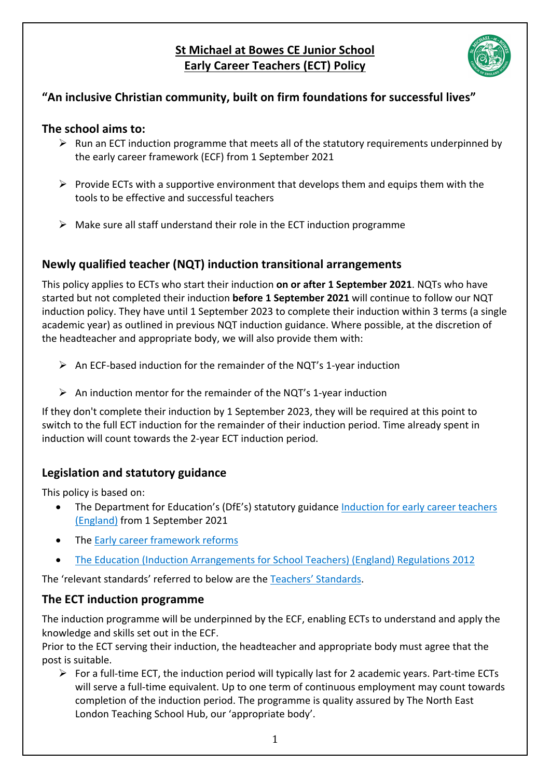# **St Michael at Bowes CE Junior School Early Career Teachers (ECT) Policy**



# **"An inclusive Christian community, built on firm foundations for successful lives"**

## **The school aims to:**

- $\triangleright$  Run an ECT induction programme that meets all of the statutory requirements underpinned by the early career framework (ECF) from 1 September 2021
- $\triangleright$  Provide ECTs with a supportive environment that develops them and equips them with the tools to be effective and successful teachers
- $\triangleright$  Make sure all staff understand their role in the ECT induction programme

# **Newly qualified teacher (NQT) induction transitional arrangements**

This policy applies to ECTs who start their induction **on or after 1 September 2021**. NQTs who have started but not completed their induction **before 1 September 2021** will continue to follow our NQT induction policy. They have until 1 September 2023 to complete their induction within 3 terms (a single academic year) as outlined in previous NQT induction guidance. Where possible, at the discretion of the headteacher and appropriate body, we will also provide them with:

- $\triangleright$  An ECF-based induction for the remainder of the NQT's 1-year induction
- $\triangleright$  An induction mentor for the remainder of the NQT's 1-year induction

If they don't complete their induction by 1 September 2023, they will be required at this point to switch to the full ECT induction for the remainder of their induction period. Time already spent in induction will count towards the 2-year ECT induction period.

# **Legislation and statutory guidance**

This policy is based on:

- The Department for Education's (DfE's) statutory guidance Induction for early career teachers (England) from 1 September 2021
- The Early career framework reforms
- The Education (Induction Arrangements for School Teachers) (England) Regulations 2012

The 'relevant standards' referred to below are the Teachers' Standards.

# **The ECT induction programme**

The induction programme will be underpinned by the ECF, enabling ECTs to understand and apply the knowledge and skills set out in the ECF.

Prior to the ECT serving their induction, the headteacher and appropriate body must agree that the post is suitable.

 $\triangleright$  For a full-time ECT, the induction period will typically last for 2 academic years. Part-time ECTs will serve a full-time equivalent. Up to one term of continuous employment may count towards completion of the induction period. The programme is quality assured by The North East London Teaching School Hub, our 'appropriate body'.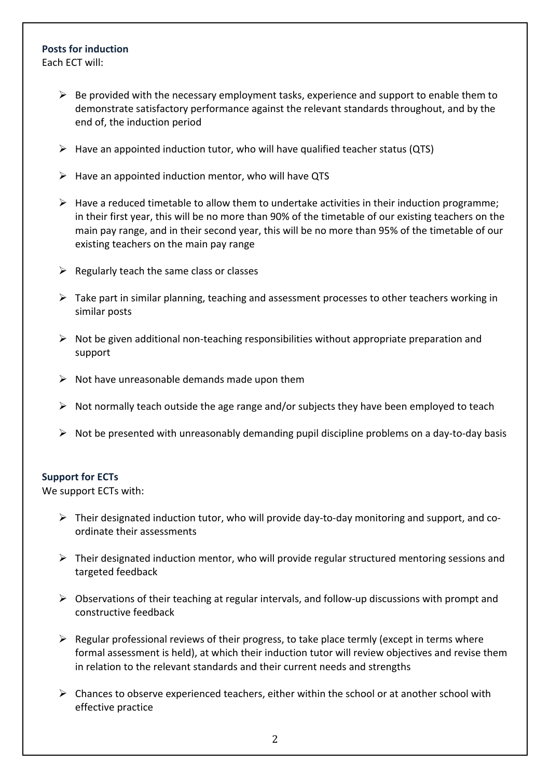## **Posts for induction**

Each ECT will:

- $\triangleright$  Be provided with the necessary employment tasks, experience and support to enable them to demonstrate satisfactory performance against the relevant standards throughout, and by the end of, the induction period
- $\triangleright$  Have an appointed induction tutor, who will have qualified teacher status (QTS)
- $\triangleright$  Have an appointed induction mentor, who will have QTS
- $\triangleright$  Have a reduced timetable to allow them to undertake activities in their induction programme; in their first year, this will be no more than 90% of the timetable of our existing teachers on the main pay range, and in their second year, this will be no more than 95% of the timetable of our existing teachers on the main pay range
- $\triangleright$  Regularly teach the same class or classes
- $\triangleright$  Take part in similar planning, teaching and assessment processes to other teachers working in similar posts
- $\triangleright$  Not be given additional non-teaching responsibilities without appropriate preparation and support
- $\triangleright$  Not have unreasonable demands made upon them
- $\triangleright$  Not normally teach outside the age range and/or subjects they have been employed to teach
- $\triangleright$  Not be presented with unreasonably demanding pupil discipline problems on a day-to-day basis

#### **Support for ECTs**

We support ECTs with:

- $\triangleright$  Their designated induction tutor, who will provide day-to-day monitoring and support, and coordinate their assessments
- $\triangleright$  Their designated induction mentor, who will provide regular structured mentoring sessions and targeted feedback
- $\triangleright$  Observations of their teaching at regular intervals, and follow-up discussions with prompt and constructive feedback
- $\triangleright$  Regular professional reviews of their progress, to take place termly (except in terms where formal assessment is held), at which their induction tutor will review objectives and revise them in relation to the relevant standards and their current needs and strengths
- $\triangleright$  Chances to observe experienced teachers, either within the school or at another school with effective practice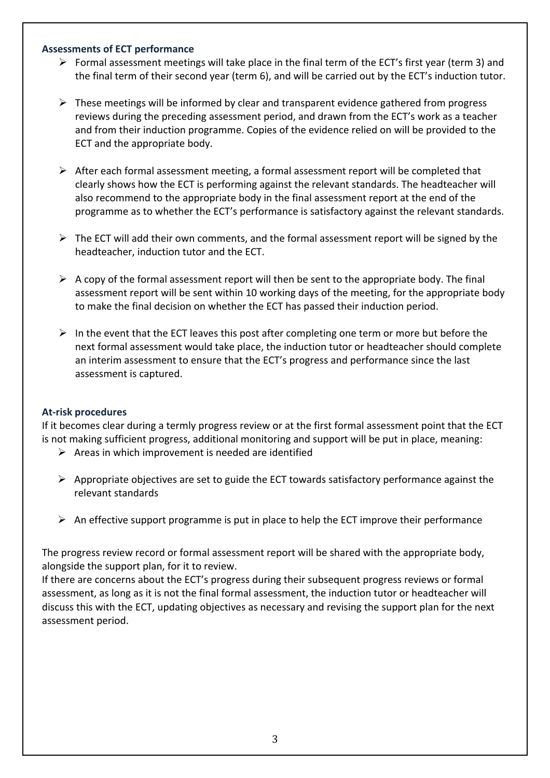#### **Assessments of ECT performance**

- $\triangleright$  Formal assessment meetings will take place in the final term of the ECT's first year (term 3) and the final term of their second year (term 6), and will be carried out by the ECT's induction tutor.
- $\triangleright$  These meetings will be informed by clear and transparent evidence gathered from progress reviews during the preceding assessment period, and drawn from the ECT's work as a teacher and from their induction programme. Copies of the evidence relied on will be provided to the ECT and the appropriate body.
- $\triangleright$  After each formal assessment meeting, a formal assessment report will be completed that clearly shows how the ECT is performing against the relevant standards. The headteacher will also recommend to the appropriate body in the final assessment report at the end of the programme as to whether the ECT's performance is satisfactory against the relevant standards.
- $\triangleright$  The ECT will add their own comments, and the formal assessment report will be signed by the headteacher, induction tutor and the ECT.
- $\triangleright$  A copy of the formal assessment report will then be sent to the appropriate body. The final assessment report will be sent within 10 working days of the meeting, for the appropriate body to make the final decision on whether the ECT has passed their induction period.
- $\triangleright$  In the event that the ECT leaves this post after completing one term or more but before the next formal assessment would take place, the induction tutor or headteacher should complete an interim assessment to ensure that the ECT's progress and performance since the last assessment is captured.

#### **At-risk procedures**

If it becomes clear during a termly progress review or at the first formal assessment point that the ECT is not making sufficient progress, additional monitoring and support will be put in place, meaning:

- $\triangleright$  Areas in which improvement is needed are identified
- $\triangleright$  Appropriate objectives are set to guide the ECT towards satisfactory performance against the relevant standards
- $\triangleright$  An effective support programme is put in place to help the ECT improve their performance

The progress review record or formal assessment report will be shared with the appropriate body, alongside the support plan, for it to review.

If there are concerns about the ECT's progress during their subsequent progress reviews or formal assessment, as long as it is not the final formal assessment, the induction tutor or headteacher will discuss this with the ECT, updating objectives as necessary and revising the support plan for the next assessment period.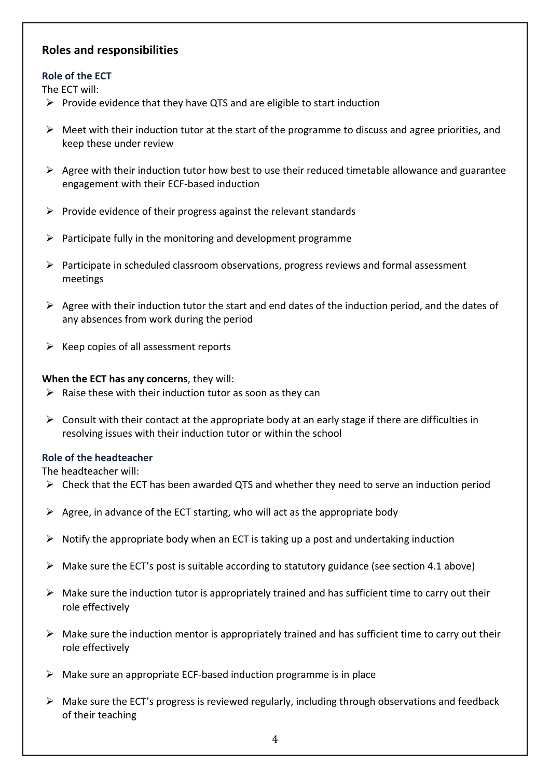## **Roles and responsibilities**

### **Role of the ECT**

The ECT will:

- $\triangleright$  Provide evidence that they have QTS and are eligible to start induction
- $\triangleright$  Meet with their induction tutor at the start of the programme to discuss and agree priorities, and keep these under review
- $\triangleright$  Agree with their induction tutor how best to use their reduced timetable allowance and guarantee engagement with their ECF-based induction
- $\triangleright$  Provide evidence of their progress against the relevant standards
- $\triangleright$  Participate fully in the monitoring and development programme
- Ø Participate in scheduled classroom observations, progress reviews and formal assessment meetings
- $\triangleright$  Agree with their induction tutor the start and end dates of the induction period, and the dates of any absences from work during the period
- $\triangleright$  Keep copies of all assessment reports

#### **When the ECT has any concerns**, they will:

- $\triangleright$  Raise these with their induction tutor as soon as they can
- $\triangleright$  Consult with their contact at the appropriate body at an early stage if there are difficulties in resolving issues with their induction tutor or within the school

### **Role of the headteacher**

The headteacher will:

- $\triangleright$  Check that the ECT has been awarded QTS and whether they need to serve an induction period
- $\triangleright$  Agree, in advance of the ECT starting, who will act as the appropriate body
- $\triangleright$  Notify the appropriate body when an ECT is taking up a post and undertaking induction
- $\triangleright$  Make sure the ECT's post is suitable according to statutory guidance (see section 4.1 above)
- $\triangleright$  Make sure the induction tutor is appropriately trained and has sufficient time to carry out their role effectively
- $\triangleright$  Make sure the induction mentor is appropriately trained and has sufficient time to carry out their role effectively
- $\triangleright$  Make sure an appropriate ECF-based induction programme is in place
- $\triangleright$  Make sure the ECT's progress is reviewed regularly, including through observations and feedback of their teaching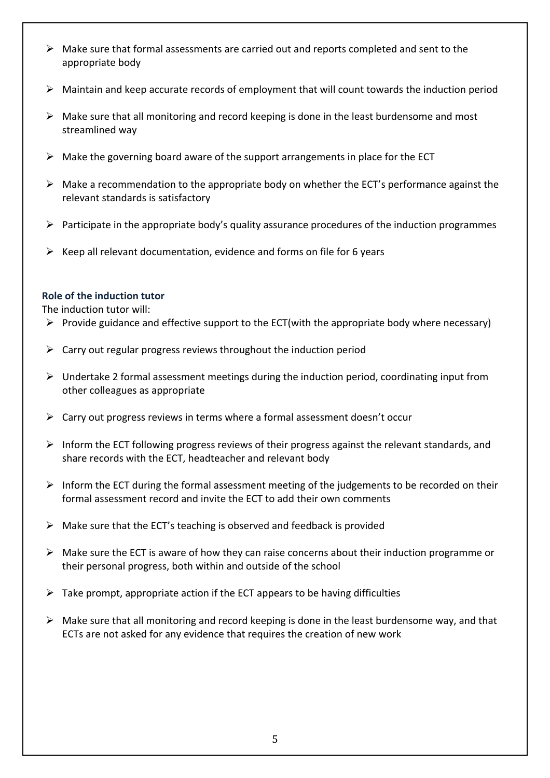- $\triangleright$  Make sure that formal assessments are carried out and reports completed and sent to the appropriate body
- $\triangleright$  Maintain and keep accurate records of employment that will count towards the induction period
- $\triangleright$  Make sure that all monitoring and record keeping is done in the least burdensome and most streamlined way
- $\triangleright$  Make the governing board aware of the support arrangements in place for the ECT
- $\triangleright$  Make a recommendation to the appropriate body on whether the ECT's performance against the relevant standards is satisfactory
- $\triangleright$  Participate in the appropriate body's quality assurance procedures of the induction programmes
- $\triangleright$  Keep all relevant documentation, evidence and forms on file for 6 years

### **Role of the induction tutor**

The induction tutor will:

- $\triangleright$  Provide guidance and effective support to the ECT(with the appropriate body where necessary)
- $\triangleright$  Carry out regular progress reviews throughout the induction period
- $\triangleright$  Undertake 2 formal assessment meetings during the induction period, coordinating input from other colleagues as appropriate
- $\triangleright$  Carry out progress reviews in terms where a formal assessment doesn't occur
- $\triangleright$  Inform the ECT following progress reviews of their progress against the relevant standards, and share records with the ECT, headteacher and relevant body
- $\triangleright$  Inform the ECT during the formal assessment meeting of the judgements to be recorded on their formal assessment record and invite the ECT to add their own comments
- $\triangleright$  Make sure that the ECT's teaching is observed and feedback is provided
- $\triangleright$  Make sure the ECT is aware of how they can raise concerns about their induction programme or their personal progress, both within and outside of the school
- $\triangleright$  Take prompt, appropriate action if the ECT appears to be having difficulties
- $\triangleright$  Make sure that all monitoring and record keeping is done in the least burdensome way, and that ECTs are not asked for any evidence that requires the creation of new work